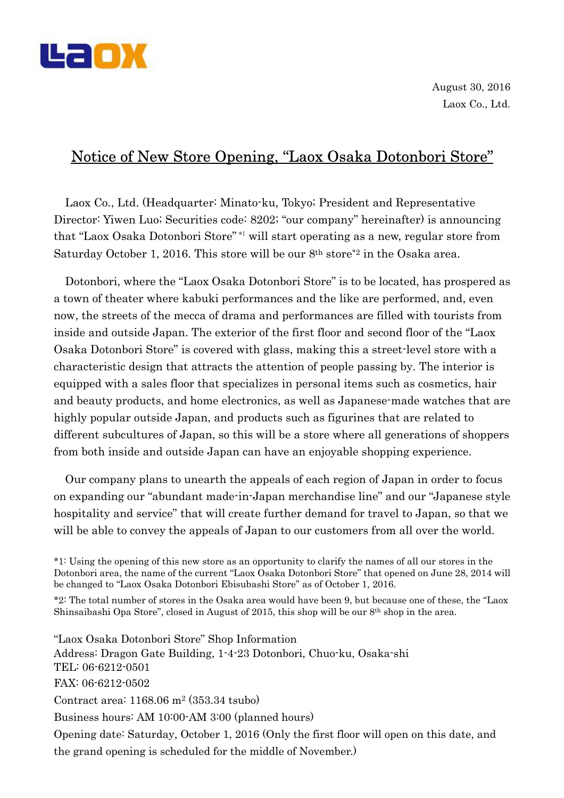

August 30, 2016 Laox Co., Ltd.

## Notice of New Store Opening, "Laox Osaka Dotonbori Store"

Laox Co., Ltd. (Headquarter: Minato-ku, Tokyo; President and Representative Director: Yiwen Luo; Securities code: 8202; "our company" hereinafter) is announcing that "Laox Osaka Dotonbori Store" \*1 will start operating as a new, regular store from Saturday October 1, 2016. This store will be our 8th store\*2 in the Osaka area.

Dotonbori, where the "Laox Osaka Dotonbori Store" is to be located, has prospered as a town of theater where kabuki performances and the like are performed, and, even now, the streets of the mecca of drama and performances are filled with tourists from inside and outside Japan. The exterior of the first floor and second floor of the "Laox Osaka Dotonbori Store" is covered with glass, making this a street-level store with a characteristic design that attracts the attention of people passing by. The interior is equipped with a sales floor that specializes in personal items such as cosmetics, hair and beauty products, and home electronics, as well as Japanese-made watches that are highly popular outside Japan, and products such as figurines that are related to different subcultures of Japan, so this will be a store where all generations of shoppers from both inside and outside Japan can have an enjoyable shopping experience.

Our company plans to unearth the appeals of each region of Japan in order to focus on expanding our "abundant made-in-Japan merchandise line" and our "Japanese style hospitality and service" that will create further demand for travel to Japan, so that we will be able to convey the appeals of Japan to our customers from all over the world.

\*1: Using the opening of this new store as an opportunity to clarify the names of all our stores in the Dotonbori area, the name of the current "Laox Osaka Dotonbori Store" that opened on June 28, 2014 will be changed to "Laox Osaka Dotonbori Ebisubashi Store" as of October 1, 2016.

\*2: The total number of stores in the Osaka area would have been 9, but because one of these, the "Laox Shinsaibashi Opa Store", closed in August of 2015, this shop will be our 8th shop in the area.

"Laox Osaka Dotonbori Store" Shop Information Address: Dragon Gate Building, 1-4-23 Dotonbori, Chuo-ku, Osaka-shi TEL: 06-6212-0501 FAX: 06-6212-0502 Contract area: 1168.06 m2 (353.34 tsubo) Business hours: AM 10:00-AM 3:00 (planned hours) Opening date: Saturday, October 1, 2016 (Only the first floor will open on this date, and the grand opening is scheduled for the middle of November.)